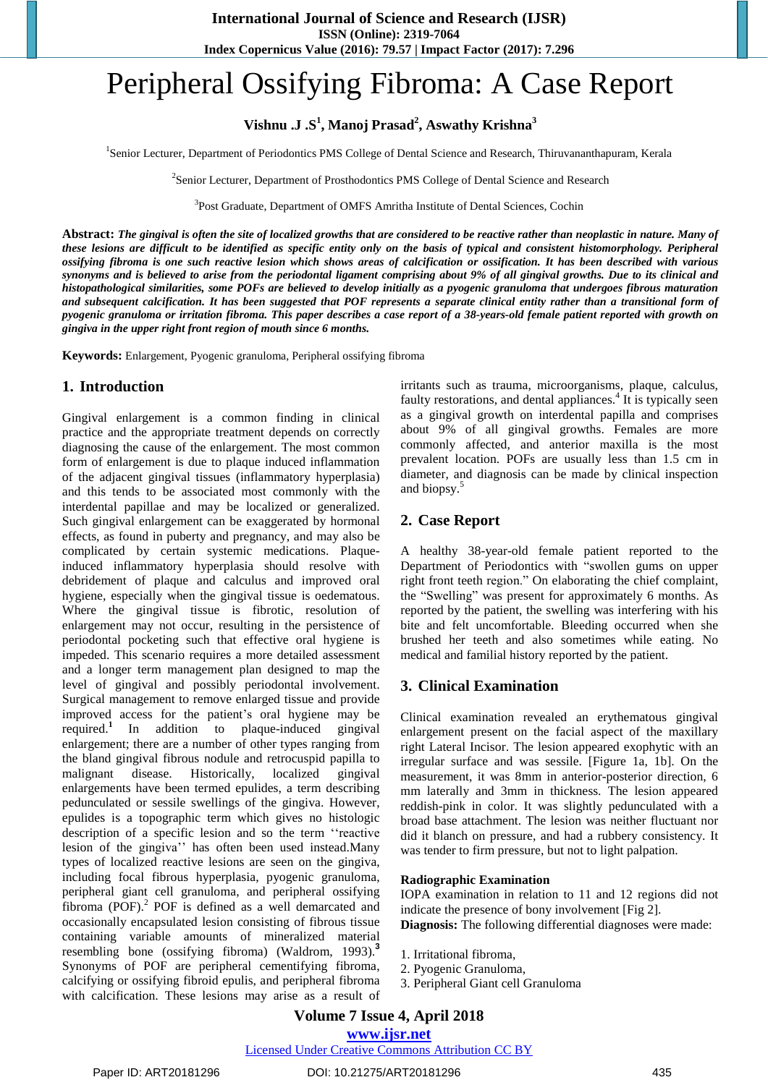# Peripheral Ossifying Fibroma: A Case Report

**Vishnu .J .S 1 , Manoj Prasad<sup>2</sup> , Aswathy Krishna<sup>3</sup>**

<sup>1</sup>Senior Lecturer, Department of Periodontics PMS College of Dental Science and Research, Thiruvananthapuram, Kerala

<sup>2</sup>Senior Lecturer, Department of Prosthodontics PMS College of Dental Science and Research

<sup>3</sup>Post Graduate, Department of OMFS Amritha Institute of Dental Sciences, Cochin

Abstract: The gingival is often the site of localized growths that are considered to be reactive rather than neoplastic in nature. Many of these lesions are difficult to be identified as specific entity only on the basis of typical and consistent histomorphology. Peripheral ossifying fibroma is one such reactive lesion which shows areas of calcification or ossification. It has been described with various synonyms and is believed to arise from the periodontal ligament comprising about 9% of all gingival growths. Due to its clinical and histopathological similarities, some POFs are believed to develop initially as a pyogenic granuloma that undergoes fibrous maturation and subsequent calcification. It has been suggested that POF represents a separate clinical entity rather than a transitional form of pyogenic granuloma or irritation fibroma. This paper describes a case report of a 38-years-old female patient reported with growth on *gingiva in the upper right front region of mouth since 6 months.*

**Keywords:** Enlargement, Pyogenic granuloma, Peripheral ossifying fibroma

# **1. Introduction**

Gingival enlargement is a common finding in clinical practice and the appropriate treatment depends on correctly diagnosing the cause of the enlargement. The most common form of enlargement is due to plaque induced inflammation of the adjacent gingival tissues (inflammatory hyperplasia) and this tends to be associated most commonly with the interdental papillae and may be localized or generalized. Such gingival enlargement can be exaggerated by hormonal effects, as found in puberty and pregnancy, and may also be complicated by certain systemic medications. Plaqueinduced inflammatory hyperplasia should resolve with debridement of plaque and calculus and improved oral hygiene, especially when the gingival tissue is oedematous. Where the gingival tissue is fibrotic, resolution of enlargement may not occur, resulting in the persistence of periodontal pocketing such that effective oral hygiene is impeded. This scenario requires a more detailed assessment and a longer term management plan designed to map the level of gingival and possibly periodontal involvement. Surgical management to remove enlarged tissue and provide improved access for the patient"s oral hygiene may be required. **1** In addition to plaque-induced gingival enlargement; there are a number of other types ranging from the bland gingival fibrous nodule and retrocuspid papilla to malignant disease. Historically, localized gingival enlargements have been termed epulides, a term describing pedunculated or sessile swellings of the gingiva. However, epulides is a topographic term which gives no histologic description of a specific lesion and so the term ""reactive lesion of the gingiva" has often been used instead.Many types of localized reactive lesions are seen on the gingiva, including focal fibrous hyperplasia, pyogenic granuloma, peripheral giant cell granuloma, and peripheral ossifying fibroma (POF).<sup>2</sup> POF is defined as a well demarcated and occasionally encapsulated lesion consisting of fibrous tissue containing variable amounts of mineralized material resembling bone (ossifying fibroma) (Waldrom, 1993). **3** Synonyms of POF are peripheral cementifying fibroma, calcifying or ossifying fibroid epulis, and peripheral fibroma with calcification. These lesions may arise as a result of irritants such as trauma, microorganisms, plaque, calculus, faulty restorations, and dental appliances.<sup>4</sup> It is typically seen as a gingival growth on interdental papilla and comprises about 9% of all gingival growths. Females are more commonly affected, and anterior maxilla is the most prevalent location. POFs are usually less than 1.5 cm in diameter, and diagnosis can be made by clinical inspection and biopsy. 5

# **2. Case Report**

A healthy 38-year-old female patient reported to the Department of Periodontics with "swollen gums on upper right front teeth region." On elaborating the chief complaint, the "Swelling" was present for approximately 6 months. As reported by the patient, the swelling was interfering with his bite and felt uncomfortable. Bleeding occurred when she brushed her teeth and also sometimes while eating. No medical and familial history reported by the patient.

# **3. Clinical Examination**

Clinical examination revealed an erythematous gingival enlargement present on the facial aspect of the maxillary right Lateral Incisor. The lesion appeared exophytic with an irregular surface and was sessile. [Figure 1a, 1b]. On the measurement, it was 8mm in anterior-posterior direction, 6 mm laterally and 3mm in thickness. The lesion appeared reddish-pink in color. It was slightly pedunculated with a broad base attachment. The lesion was neither fluctuant nor did it blanch on pressure, and had a rubbery consistency. It was tender to firm pressure, but not to light palpation.

#### **Radiographic Examination**

IOPA examination in relation to 11 and 12 regions did not indicate the presence of bony involvement [Fig 2].

**Diagnosis:** The following differential diagnoses were made:

- 1. Irritational fibroma,
- 2. Pyogenic Granuloma,
- 3. Peripheral Giant cell Granuloma

# **Volume 7 Issue 4, April 2018**

**<www.ijsr.net>**

Licensed Under Creative Commons [Attribution](http://creativecommons.org/licenses/by/4.0/) CC BY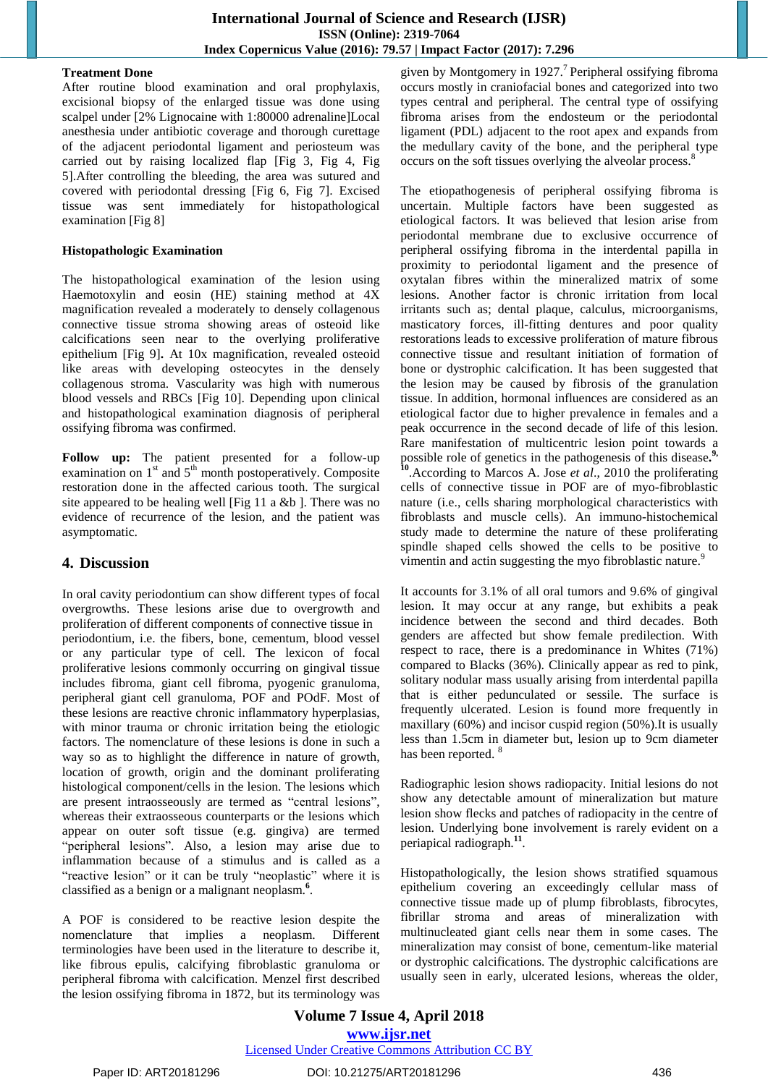#### **Treatment Done**

After routine blood examination and oral prophylaxis, excisional biopsy of the enlarged tissue was done using scalpel under [2% Lignocaine with 1:80000 adrenaline]Local anesthesia under antibiotic coverage and thorough curettage of the adjacent periodontal ligament and periosteum was carried out by raising localized flap [Fig 3, Fig 4, Fig 5].After controlling the bleeding, the area was sutured and covered with periodontal dressing [Fig 6, Fig 7]. Excised tissue was sent immediately for histopathological examination [Fig 8]

#### **Histopathologic Examination**

The histopathological examination of the lesion using Haemotoxylin and eosin (HE) staining method at 4X magnification revealed a moderately to densely collagenous connective tissue stroma showing areas of osteoid like calcifications seen near to the overlying proliferative epithelium [Fig 9]**.** At 10x magnification, revealed osteoid like areas with developing osteocytes in the densely collagenous stroma. Vascularity was high with numerous blood vessels and RBCs [Fig 10]. Depending upon clinical and histopathological examination diagnosis of peripheral ossifying fibroma was confirmed.

**Follow up:** The patient presented for a follow-up examination on 1<sup>st</sup> and 5<sup>th</sup> month postoperatively. Composite restoration done in the affected carious tooth. The surgical site appeared to be healing well [Fig 11 a &b ]. There was no evidence of recurrence of the lesion, and the patient was asymptomatic.

# **4. Discussion**

In oral cavity periodontium can show different types of focal overgrowths. These lesions arise due to overgrowth and proliferation of different components of connective tissue in periodontium, i.e. the fibers, bone, cementum, blood vessel or any particular type of cell. The lexicon of focal proliferative lesions commonly occurring on gingival tissue includes fibroma, giant cell fibroma, pyogenic granuloma, peripheral giant cell granuloma, POF and POdF. Most of these lesions are reactive chronic inflammatory hyperplasias, with minor trauma or chronic irritation being the etiologic factors. The nomenclature of these lesions is done in such a way so as to highlight the difference in nature of growth, location of growth, origin and the dominant proliferating histological component/cells in the lesion. The lesions which are present intraosseously are termed as "central lesions", whereas their extraosseous counterparts or the lesions which appear on outer soft tissue (e.g. gingiva) are termed "peripheral lesions". Also, a lesion may arise due to inflammation because of a stimulus and is called as a "reactive lesion" or it can be truly "neoplastic" where it is classified as a benign or a malignant neoplasm. **6** .

A POF is considered to be reactive lesion despite the nomenclature that implies a neoplasm. Different terminologies have been used in the literature to describe it, like fibrous epulis, calcifying fibroblastic granuloma or peripheral fibroma with calcification. Menzel first described the lesion ossifying fibroma in 1872, but its terminology was

given by Montgomery in 1927. 7 Peripheral ossifying fibroma occurs mostly in craniofacial bones and categorized into two types central and peripheral. The central type of ossifying fibroma arises from the endosteum or the periodontal ligament (PDL) adjacent to the root apex and expands from the medullary cavity of the bone, and the peripheral type occurs on the soft tissues overlying the alveolar process.<sup>8</sup>

The etiopathogenesis of peripheral ossifying fibroma is uncertain. Multiple factors have been suggested as etiological factors. It was believed that lesion arise from periodontal membrane due to exclusive occurrence of peripheral ossifying fibroma in the interdental papilla in proximity to periodontal ligament and the presence of oxytalan fibres within the mineralized matrix of some lesions. Another factor is chronic irritation from local irritants such as; dental plaque, calculus, microorganisms, masticatory forces, ill-fitting dentures and poor quality restorations leads to excessive proliferation of mature fibrous connective tissue and resultant initiation of formation of bone or dystrophic calcification. It has been suggested that the lesion may be caused by fibrosis of the granulation tissue. In addition, hormonal influences are considered as an etiological factor due to higher prevalence in females and a peak occurrence in the second decade of life of this lesion. Rare manifestation of multicentric lesion point towards a possible role of genetics in the pathogenesis of this disease.<sup>9</sup> **10** .According to Marcos A. Jose *et al*., 2010 the proliferating cells of connective tissue in POF are of myo-fibroblastic nature (i.e., cells sharing morphological characteristics with fibroblasts and muscle cells). An immuno-histochemical study made to determine the nature of these proliferating spindle shaped cells showed the cells to be positive to vimentin and actin suggesting the myo fibroblastic nature.<sup>9</sup>

It accounts for 3.1% of all oral tumors and 9.6% of gingival lesion. It may occur at any range, but exhibits a peak incidence between the second and third decades. Both genders are affected but show female predilection. With respect to race, there is a predominance in Whites (71%) compared to Blacks (36%). Clinically appear as red to pink, solitary nodular mass usually arising from interdental papilla that is either pedunculated or sessile. The surface is frequently ulcerated. Lesion is found more frequently in maxillary (60%) and incisor cuspid region (50%).It is usually less than 1.5cm in diameter but, lesion up to 9cm diameter has been reported. <sup>8</sup>

Radiographic lesion shows radiopacity. Initial lesions do not show any detectable amount of mineralization but mature lesion show flecks and patches of radiopacity in the centre of lesion. Underlying bone involvement is rarely evident on a periapical radiograph. **11** .

Histopathologically, the lesion shows stratified squamous epithelium covering an exceedingly cellular mass of connective tissue made up of plump fibroblasts, fibrocytes, fibrillar stroma and areas of mineralization with multinucleated giant cells near them in some cases. The mineralization may consist of bone, cementum-like material or dystrophic calcifications. The dystrophic calcifications are usually seen in early, ulcerated lesions, whereas the older,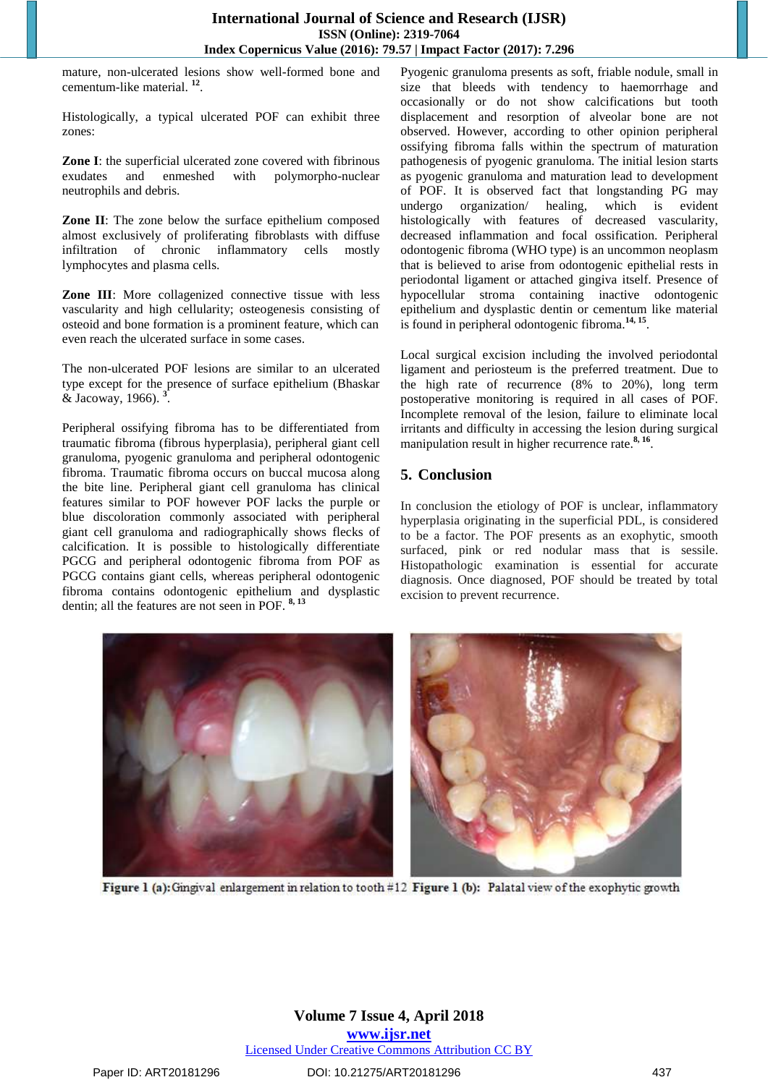mature, non-ulcerated lesions show well-formed bone and cementum-like material. **12** .

Histologically, a typical ulcerated POF can exhibit three zones:

**Zone I**: the superficial ulcerated zone covered with fibrinous exudates and enmeshed with polymorpho-nuclear neutrophils and debris.

**Zone II**: The zone below the surface epithelium composed almost exclusively of proliferating fibroblasts with diffuse infiltration of chronic inflammatory cells mostly lymphocytes and plasma cells.

**Zone III**: More collagenized connective tissue with less vascularity and high cellularity; osteogenesis consisting of osteoid and bone formation is a prominent feature, which can even reach the ulcerated surface in some cases.

The non-ulcerated POF lesions are similar to an ulcerated type except for the presence of surface epithelium (Bhaskar & Jacoway, 1966). **3** .

Peripheral ossifying fibroma has to be differentiated from traumatic fibroma (fibrous hyperplasia), peripheral giant cell granuloma, pyogenic granuloma and peripheral odontogenic fibroma. Traumatic fibroma occurs on buccal mucosa along the bite line. Peripheral giant cell granuloma has clinical features similar to POF however POF lacks the purple or blue discoloration commonly associated with peripheral giant cell granuloma and radiographically shows flecks of calcification. It is possible to histologically differentiate PGCG and peripheral odontogenic fibroma from POF as PGCG contains giant cells, whereas peripheral odontogenic fibroma contains odontogenic epithelium and dysplastic dentin; all the features are not seen in POF. **8, 13**

Pyogenic granuloma presents as soft, friable nodule, small in size that bleeds with tendency to haemorrhage and occasionally or do not show calcifications but tooth displacement and resorption of alveolar bone are not observed. However, according to other opinion peripheral ossifying fibroma falls within the spectrum of maturation pathogenesis of pyogenic granuloma. The initial lesion starts as pyogenic granuloma and maturation lead to development of POF. It is observed fact that longstanding PG may undergo organization/ healing, which is evident histologically with features of decreased vascularity, decreased inflammation and focal ossification. Peripheral odontogenic fibroma (WHO type) is an uncommon neoplasm that is believed to arise from odontogenic epithelial rests in periodontal ligament or attached gingiva itself. Presence of hypocellular stroma containing inactive odontogenic epithelium and dysplastic dentin or cementum like material is found in peripheral odontogenic fibroma.<sup>14, 15</sup>.

Local surgical excision including the involved periodontal ligament and periosteum is the preferred treatment. Due to the high rate of recurrence (8% to 20%), long term postoperative monitoring is required in all cases of POF. Incomplete removal of the lesion, failure to eliminate local irritants and difficulty in accessing the lesion during surgical manipulation result in higher recurrence rate.<sup>8, 16</sup>.

# **5. Conclusion**

In conclusion the etiology of POF is unclear, inflammatory hyperplasia originating in the superficial PDL, is considered to be a factor. The POF presents as an exophytic, smooth surfaced, pink or red nodular mass that is sessile. Histopathologic examination is essential for accurate diagnosis. Once diagnosed, POF should be treated by total excision to prevent recurrence.



Figure 1 (a): Gingival enlargement in relation to tooth #12 Figure 1 (b): Palatal view of the exophytic growth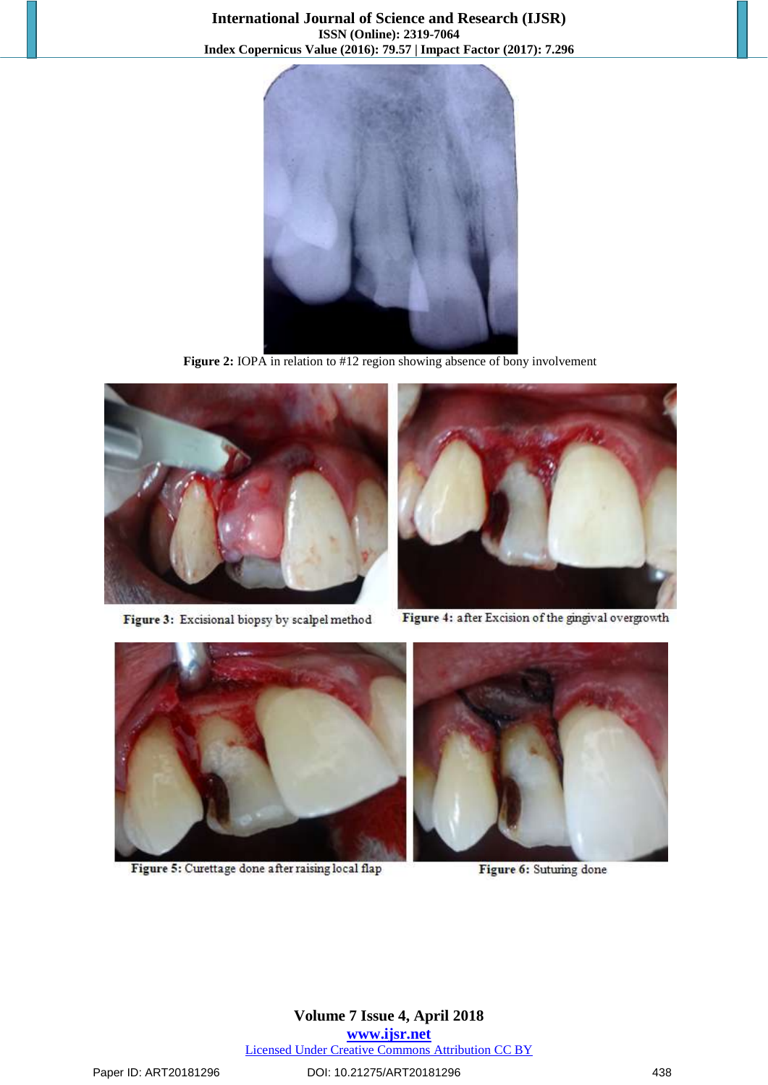

**Figure 2:** IOPA in relation to #12 region showing absence of bony involvement



Figure 3: Excisional biopsy by scalpel method



Figure 4: after Excision of the gingival overgrowth



Figure 5: Curettage done after raising local flap

Figure 6: Suturing done

**Volume 7 Issue 4, April 2018 <www.ijsr.net>** Licensed Under Creative Commons [Attribution](http://creativecommons.org/licenses/by/4.0/) CC BY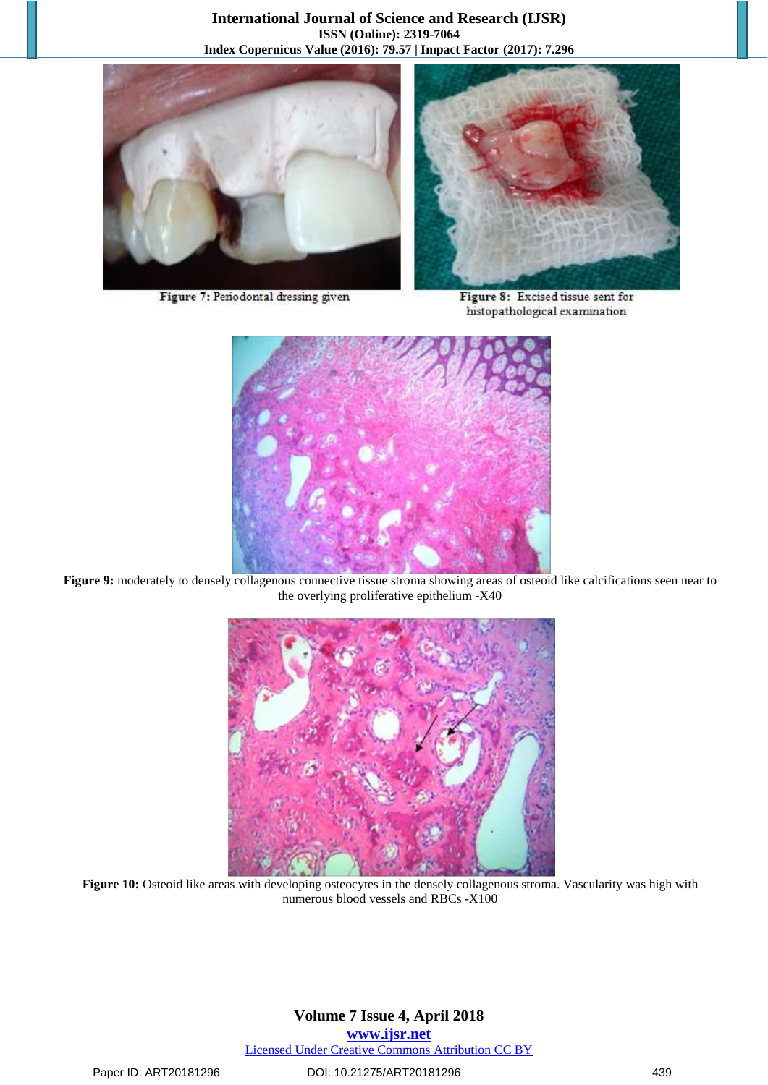



Figure 7: Periodontal dressing given

Figure 8: Excised tissue sent for histopathological examination



**Figure 9:** moderately to densely collagenous connective tissue stroma showing areas of osteoid like calcifications seen near to the overlying proliferative epithelium -X40



**Figure 10:** Osteoid like areas with developing osteocytes in the densely collagenous stroma. Vascularity was high with numerous blood vessels and RBCs -X100

### **Volume 7 Issue 4, April 2018 <www.ijsr.net>** Licensed Under Creative Commons [Attribution](http://creativecommons.org/licenses/by/4.0/) CC BY